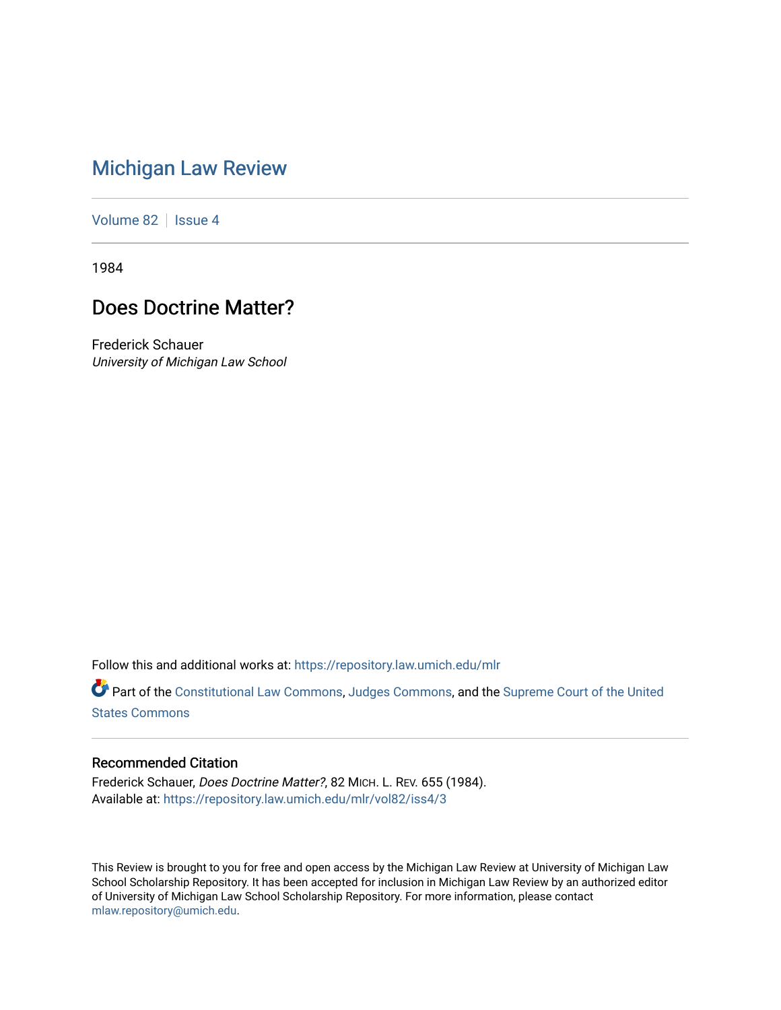## [Michigan Law Review](https://repository.law.umich.edu/mlr)

[Volume 82](https://repository.law.umich.edu/mlr/vol82) | [Issue 4](https://repository.law.umich.edu/mlr/vol82/iss4)

1984

# Does Doctrine Matter?

Frederick Schauer University of Michigan Law School

Follow this and additional works at: [https://repository.law.umich.edu/mlr](https://repository.law.umich.edu/mlr?utm_source=repository.law.umich.edu%2Fmlr%2Fvol82%2Fiss4%2F3&utm_medium=PDF&utm_campaign=PDFCoverPages) 

Part of the [Constitutional Law Commons,](http://network.bepress.com/hgg/discipline/589?utm_source=repository.law.umich.edu%2Fmlr%2Fvol82%2Fiss4%2F3&utm_medium=PDF&utm_campaign=PDFCoverPages) [Judges Commons,](http://network.bepress.com/hgg/discipline/849?utm_source=repository.law.umich.edu%2Fmlr%2Fvol82%2Fiss4%2F3&utm_medium=PDF&utm_campaign=PDFCoverPages) and the Supreme Court of the United [States Commons](http://network.bepress.com/hgg/discipline/1350?utm_source=repository.law.umich.edu%2Fmlr%2Fvol82%2Fiss4%2F3&utm_medium=PDF&utm_campaign=PDFCoverPages) 

#### Recommended Citation

Frederick Schauer, Does Doctrine Matter?, 82 MICH. L. REV. 655 (1984). Available at: [https://repository.law.umich.edu/mlr/vol82/iss4/3](https://repository.law.umich.edu/mlr/vol82/iss4/3?utm_source=repository.law.umich.edu%2Fmlr%2Fvol82%2Fiss4%2F3&utm_medium=PDF&utm_campaign=PDFCoverPages)

This Review is brought to you for free and open access by the Michigan Law Review at University of Michigan Law School Scholarship Repository. It has been accepted for inclusion in Michigan Law Review by an authorized editor of University of Michigan Law School Scholarship Repository. For more information, please contact [mlaw.repository@umich.edu.](mailto:mlaw.repository@umich.edu)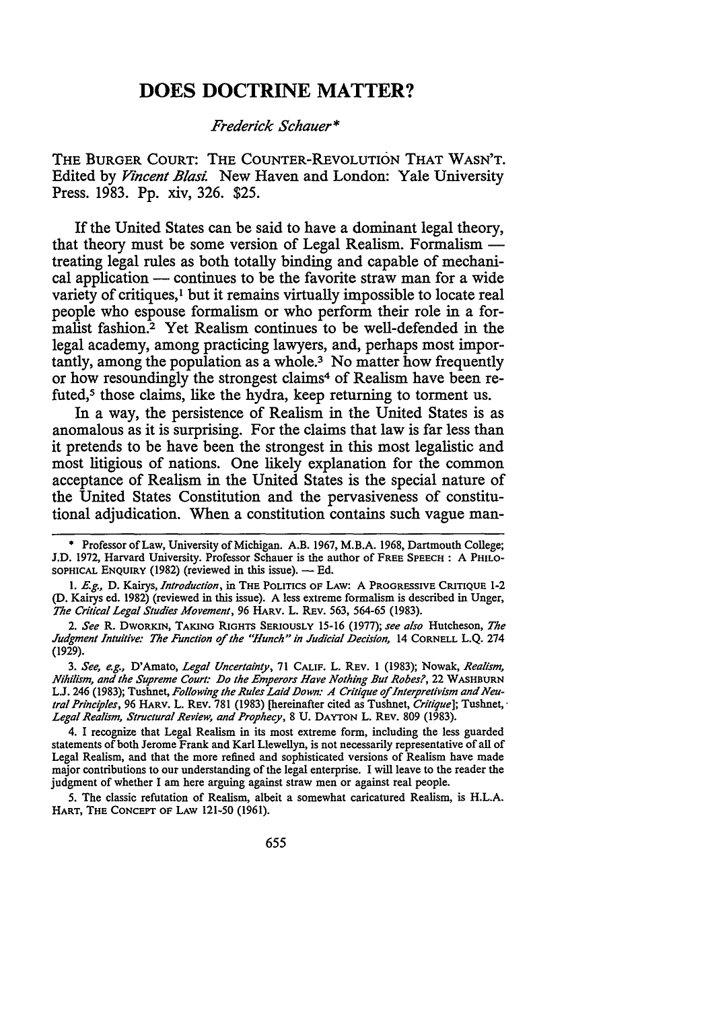### **DOES DOCTRINE MATTER?**

#### *Frederick Schauer\**

THE BURGER COURT: THE COUNTER-REVOLUTION THAT WASN'T. Edited by *Vincent Blasi* New Haven and London: Yale University Press. 1983. Pp. xiv, 326. \$25.

If the United States can be said to have a dominant legal theory, that theory must be some version of Legal Realism. Formalism treating legal rules as both totally binding and capable of mechanical application — continues to be the favorite straw man for a wide variety of critiques,<sup>1</sup> but it remains virtually impossible to locate real people who espouse formalism or who perform their role in a formalist fashion.2 Yet Realism continues to be well-defended in the legal academy, among practicing lawyers, and, perhaps most importantly, among the population as a whole.3 No matter how frequently or how resoundingly the strongest claims<sup>4</sup> of Realism have been refuted, $<sup>5</sup>$  those claims, like the hydra, keep returning to torment us.</sup>

In a way, the persistence of Realism in the United States is as anomalous as it is surprising. For the claims that law is far less than it pretends to be have been the strongest in this most legalistic and most litigious of nations. One likely explanation for the common acceptance of Realism in the United States is the special nature of the United States Constitution and the pervasiveness of constitutional adjudication. When a constitution contains such vague man-

1. E.g., D. Kairys, *Introduction,* in THE POLITICS OF LAW: A PROGRESSIVE CRITIQUE 1-2 (D. Kairys ed. 1982) (reviewed in this issue). A less extreme formalism is described in Unger, *The Critical Legal Studies Movement,* 96 HARV. L. REv. 563, 564-65 (1983).

2. *See* R. DWORKIN, TAKING RIGHTS SERIOUSLY 15-16 (1977); *see also* Hutcheson, *The Judgment Intuitive: The Function* of *the "Hunch" in Judicial Decision,* 14 CORNELL L.Q. 274 (1929).

3. *See, e.g.,* D'Amato, *Legal Uncertainty,* 71 CALIF. L. REV. I (1983); Nowak, *Realism, Nihilism, and the Supreme Court: Do the Emperors Have Nothing But Robes?,* 22 WASHBURN L.J. 246 (1983); Tushnet, *Following the Rules Laid Down: A Critique* of *Interpretivism and Neutral Principles,* 96 HARV. L. REV. 781 (1983) [hereinafter cited as Tushnet, *Critique];* Tushnet, · *Legal Realism, Structural Review, and Prophecy,* 8 U. DAYTON L. REV. 809 (1983).

4. I recognize that Legal Realism in its most extreme form, including the less guarded statements of both Jerome Frank and Karl Llewellyn, is not necessarily representative of all of Legal Realism, and that the more refined and sophisticated versions of Realism have made major contributions to our understanding of the legal enterprise. I will leave to the reader the judgment of whether I am here arguing against straw men or against real people.

5. The classic refutation of Realism, albeit a somewhat caricatured Realism, is H.L.A. HART, THE CONCEPT OF LAW 121-50 (1961).

<sup>•</sup> Professor of Law, University of Michigan. A.B. 1967, **M.B.A.** 1968, Dartmouth College; J.D. 1972, Harvard University. Professor Schauer is the author of FREE SPEECH : A PHILO-SOPHICAL ENQUIRY (1982) (reviewed in this issue).  $-$  Ed.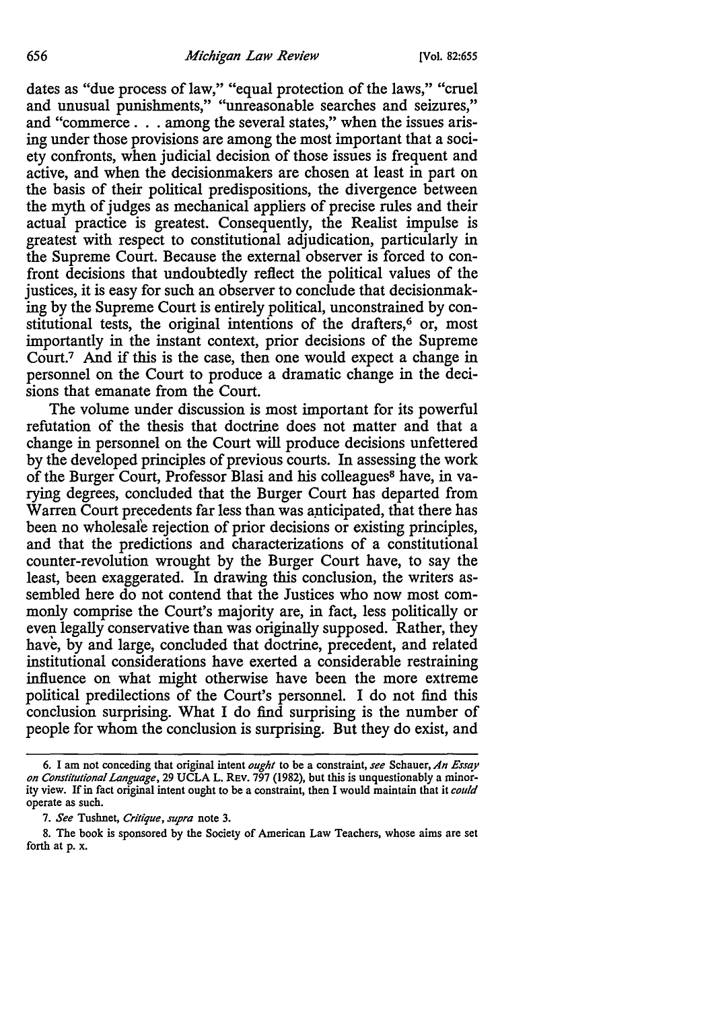dates as "due process of law," "equal protection of the laws," "cruel and unusual punishments," "unreasonable searches and seizures," and "commerce . . . among the several states," when the issues arising under those provisions are among the most important that a society confronts, when judicial decision of those issues is frequent and active, and when the decisionmakers are chosen at least in part on the basis of their political predispositions, the divergence between the myth of judges as mechanical appliers of precise rules and their actual practice is greatest. Consequently, the Realist impulse is greatest with respect to constitutional adjudication, particularly in the Supreme Court. Because the external observer is forced to confront decisions that undoubtedly reflect the political values of the justices, it is easy for such an observer to conclude that decisionmaking by the Supreme Court is entirely political, unconstrained by constitutional tests, the original intentions of the drafters, $6$  or, most importantly in the instant context, prior decisions of the Supreme Court.7 And if this is the case, then one would expect a change in personnel on the Court to produce a dramatic change in the decisions that emanate from the Court.

The volume under discussion is most important for its powerful refutation of the thesis that doctrine does not matter and that a change in personnel on the Court will produce decisions unfettered by the developed principles of previous courts. In assessing the work of the Burger Court, Professor Blasi and his colleagues<sup>8</sup> have, in varying degrees, concluded that the Burger Court has departed from Warren Court precedents far less than was anticipated, that there has been no wholesale rejection of prior decisions or existing principles, and that the predictions and characterizations of a constitutional counter-revolution wrought by the Burger Court have, to say the least, been exaggerated. In drawing this conclusion, the writers assembled here do not contend that the Justices who now most commonly comprise the Court's majority are, in fact, less politically or even legally conservative than was originally supposed. Rather, they have, by and large, concluded that doctrine, precedent, and related institutional considerations have exerted a considerable restraining influence on what might otherwise have been the more extreme political predilections of the Court's personnel. I do not find this conclusion surprising. What I do find surprising is the number of people for whom the conclusion is surprising. But they do exist, and

<sup>6.</sup> I am not conceding that original intent *ought* to be a constraint, *see* Schauer, *An Essay on Constitutional Language,* 29 UCLA L. REV. 797 (1982), but this is unquestionably a minority view. If in fact original intent ought to be a constraint, then I would maintain that it *could*  operate as such.

<sup>7.</sup> *See* Tushnet, *Critique, supra* note 3.

<sup>8.</sup> The book is sponsored by the Society of American Law Teachers, whose aims are set forth at p. x.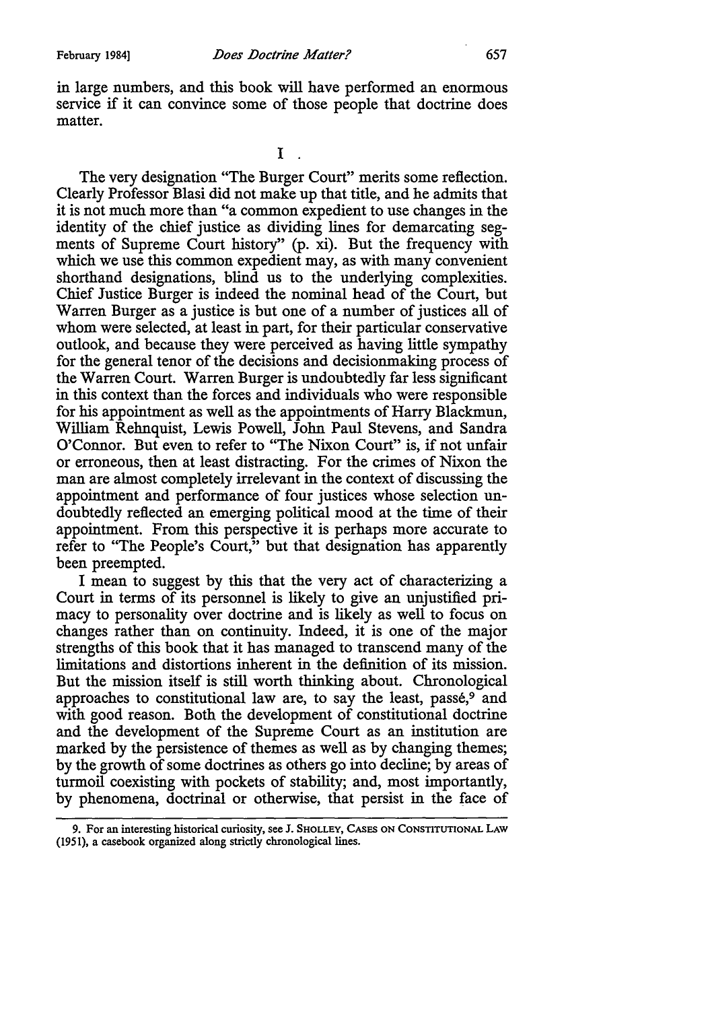in large numbers, and this book will have performed an enormous service if it can convince some of those people that doctrine does matter.

 $\bf{I}$ 

The very designation "The Burger Court" merits some reflection. Clearly Professor Blasi did not make up that title, and he admits that it is not much more than "a common expedient to use changes in the identity of the chief justice as dividing lines for demarcating segments of Supreme Court history" (p. xi). But the frequency with which we use this common expedient may, as with many convenient shorthand designations, blind us to the underlying complexities. Chief Justice Burger is indeed the nominal head of the Court, but Warren Burger as a justice is but one of a number of justices all of whom were selected, at least in part, for their particular conservative outlook, and because they were perceived as having little sympathy for the general tenor of the decisions and decisionmaking process of the Warren Court. Warren Burger is undoubtedly far less significant in this context than the forces and individuals who were responsible for his appointment as well as the appointments of Harry Blackmun, William Rehnquist, Lewis Powell, John Paul Stevens, and Sandra O'Connor. But even to refer to "The Nixon Court" is, if not unfair or erroneous, then at least distracting. For the crimes of Nixon the man are almost completely irrelevant in the context of discussing the appointment and performance of four justices whose selection undoubtedly reflected an emerging political mood at the time of their appointment. From this perspective it is perhaps more accurate to refer to "The People's Court," but that designation has apparently been preempted.

I mean to suggest by this that the very act of characterizing a Court in terms of its personnel is likely to give an unjustified primacy to personality over doctrine and is likely as well to focus on changes rather than on continuity. Indeed, it is one of the major strengths of this book that it has managed to transcend many of the limitations and distortions inherent in the definition of its mission. But the mission itself is still worth thinking about. Chronological approaches to constitutional law are, to say the least, passe,<sup>9</sup> and with good reason. Both the development of constitutional doctrine and the development of the Supreme Court as an institution are marked by the persistence of themes as well as by changing themes; by the growth of some doctrines as others go into decline; by areas of turmoil coexisting with pockets of stability; and, most importantly, by phenomena, doctrinal or otherwise, that persist in the face of

<sup>9.</sup> For an interesting historical curiosity, see J. SHOLLEY, CASES ON CONSTITUTIONAL LAW {1951), a casebook organized along strictly chronological lines.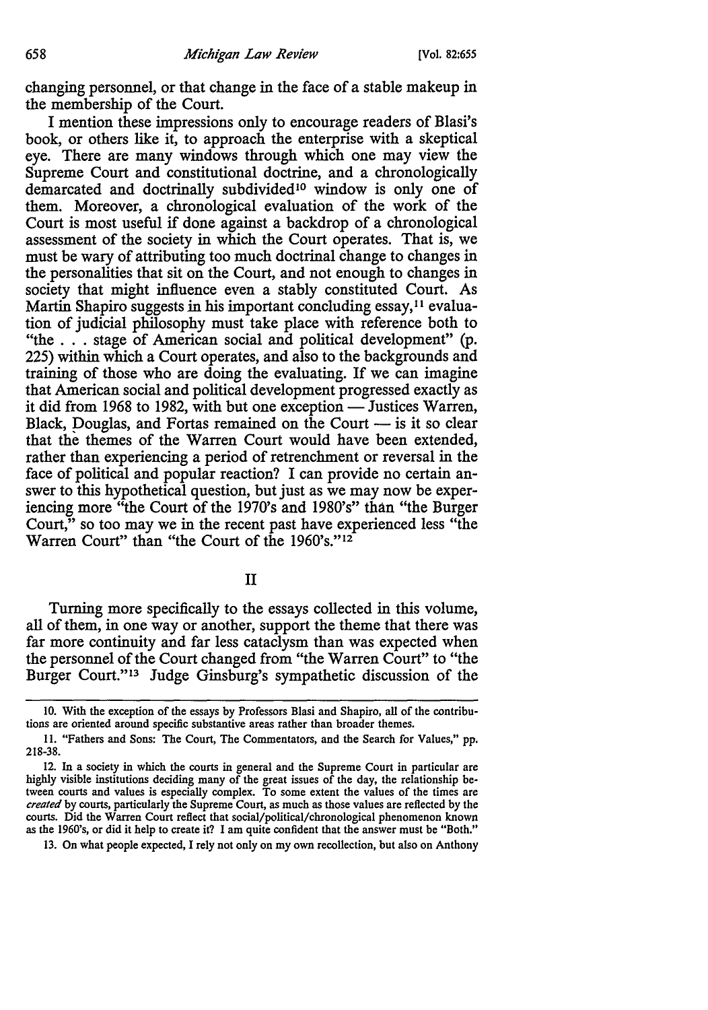changing personnel, or that change in the face of a stable makeup in the membership of the Court.

I mention these impressions only to encourage readers of Blasi's book, or others like it, to approach the enterprise with a skeptical eye. There are many windows through which one may view the Supreme Court and constitutional doctrine, and a chronologically demarcated and doctrinally subdivided<sup>10</sup> window is only one of them. Moreover, a chronological evaluation of the work of the Court is most useful if done against a backdrop of a chronological assessment of the society in which the Court operates. That is, we must be wary of attributing too much doctrinal change to changes in the personalities that sit on the Court, and not enough to changes in society that might influence even a stably constituted Court. As Martin Shapiro suggests in his important concluding essay,<sup>11</sup> evaluation of judicial philosophy must take place with reference both to "the . . . stage of American social and political development" (p. 225) within which a Court operates, and also to the backgrounds and training of those who are doing the evaluating. If we can imagine that American social and political development progressed exactly as it did from 1968 to 1982, with but one exception  $-$  Justices Warren, Black, Douglas, and Fortas remained on the Court  $-$  is it so clear that the themes of the Warren Court would have been extended, rather than experiencing a period of retrenchment or reversal in the face of political and popular reaction? I can provide no certain answer to this hypothetical question, but just as we may now be experiencing more "the Court of the 1970's and 1980's" than "the Burger Court," so too may we in the recent past have experienced less "the Warren Court" than "the Court of the 1960's."12

II

Turning more specifically to the essays collected in this volume, all of them, in one way or another, support the theme that there was far more continuity and far less cataclysm than was expected when the personnel of the Court changed from "the Warren Court" to "the Burger Court."<sup>13</sup> Judge Ginsburg's sympathetic discussion of the

<sup>10.</sup> With the exception of the essays by Professors Blasi and Shapiro, all of the contributions are oriented around specific substantive areas rather than broader themes.

<sup>11. &</sup>quot;Fathers and Sons: The Court, The Commentators, and the Search for Values," pp. 218-38.

<sup>12.</sup> In a society in which the courts in general and the Supreme Court in particular are highly visible institutions deciding many of the great issues of the day, the relationship between courts and values is especially complex. To some extent the values of the times are *created* by courts, particularly the Supreme Court, as much as those values are reflected by the courts. Did the Warren Court reflect that social/political/chronological phenomenon known as the 1960's, or did it help to create it? I am quite confident that the answer must be "Both."

<sup>13.</sup> On what people expected, I rely not only on my own recollection, but also on Anthony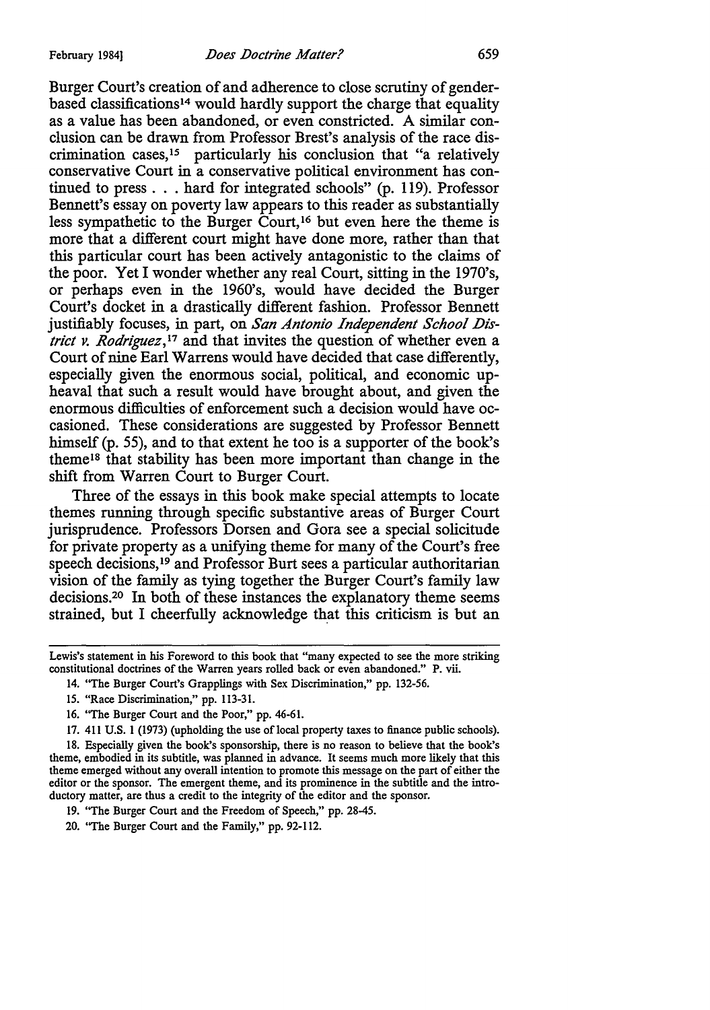Burger Court's creation of and adherence to close scrutiny of genderbased classifications14 would hardly support the charge that equality as a value has been abandoned, or even constricted. A similar conclusion can be drawn from Professor Brest's analysis of the race discrimination cases, 15 particularly his conclusion that "a relatively conservative Court in a conservative political environment has continued to press ... hard for integrated schools" (p. 119). Professor Bennett's essay on poverty law appears to this reader as substantially less sympathetic to the Burger Court, 16 but even here the theme is more that a different court might have done more, rather than that this particular court has been actively antagonistic to the claims of the poor. Yet I wonder whether any real Court, sitting in the 1970's, or perhaps even in the 1960's, would have decided the Burger Court's docket in a drastically different fashion. Professor Bennett justifiably focuses, in part, on San Antonio Independent School Dis*trict v. Rodriguez*,<sup>17</sup> and that invites the question of whether even a Court of nine Earl Warrens would have decided that case differently, especially given the enormous social, political, and economic upheaval that such a result would have brought about, and given the enormous difficulties of enforcement such a decision would have occasioned. These considerations are suggested by Professor Bennett himself (p. 55), and to that extent he too is a supporter of the book's theme<sup>18</sup> that stability has been more important than change in the shift from Warren Court to Burger Court.

Three of the essays in this book make special attempts to locate themes running through specific substantive areas of Burger Court jurisprudence. Professors Dorsen and Gora see a special solicitude for private property as a unifying theme for many of the Court's free speech decisions, 19 and Professor Burt sees a particular authoritarian vision of the family as tying together the Burger Court's family law decisions.20 In both of these instances the explanatory theme seems strained, but I cheerfully acknowledge that this criticism is but an

- 15. "Race Discrimination,'' pp. 113-31.
- 16. ''The Burger Court and the Poor,'' pp. 46-61.
- 17. 411 U.S. 1 (1973) (upholding the use of local property taxes to finance public schools).

18. Especially given the book's sponsorship, there is no reason to believe that the book's theme, embodied in its subtitle, was planned in advance. It seems much more likely that this theme emerged without any overall intention to promote this message on the part of either the editor or the sponsor. The emergent theme, and its prominence in the subtitle and the introductory matter, are thus a credit to the integrity of the editor and the sponsor.

19. ''The Burger Court and the Freedom of Speech," pp. 28-45.

20. "The Burger Court and the Family," pp. 92-112.

Lewis's statement in his Foreword to this book that "many expected to see the more striking constitutional doctrines of the Warren years rolled back or even abandoned." P. vii.

<sup>14. &#</sup>x27;'The Burger Court's Grapplings with Sex Discrimination," pp. 132-56.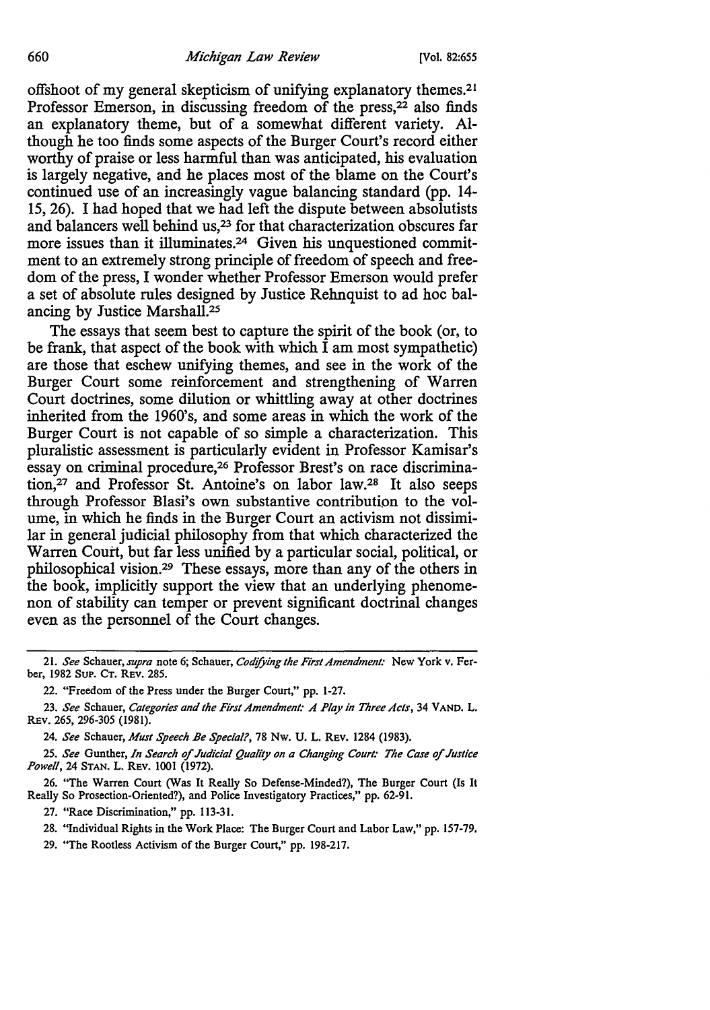offshoot of my general skepticism of unifying explanatory themes.21 Professor Emerson, in discussing freedom of the press,<sup>22</sup> also finds an explanatory theme, but of a somewhat different variety. Although he too finds some aspects of the Burger Court's record either worthy of praise or less harmful than was anticipated, his evaluation is largely negative, and he places most of the blame on the Court's continued use of an increasingly vague balancing standard (pp. 14- 15, 26). I had hoped that we had left the dispute between absolutists and balancers well behind us,<sup>23</sup> for that characterization obscures far more issues than it illuminates.<sup>24</sup> Given his unquestioned commitment to an extremely strong principle of freedom of speech and freedom of the press, I wonder whether Professor Emerson would prefer a set of absolute rules designed by Justice Rehnquist to ad hoc balancing by Justice Marshall.25

The essays that seem best to capture the spirit of the book (or, to be frank, that aspect of the book with which I am most sympathetic) are those that eschew unifying themes, and see in the work of the Burger Court some reinforcement and strengthening of Warren Court doctrines, some dilution or whittling away at other doctrines inherited from the 1960's, and some areas in which the work of the Burger Court is not capable of so simple a characterization. This pluralistic assessment is particularly evident in Professor Kamisar's essay on criminal procedure,<sup>26</sup> Professor Brest's on race discrimination,27 and Professor St. Antoine's on labor law.28 It also seeps through Professor Blasi's own substantive contribution to the volume, in which he finds in the Burger Court an activism not dissimilar in general judicial philosophy from that which characterized the Warren Court, but far less unified by a particular social, political, or philosophical vision.29 These essays, more than any of the others in the book, implicitly support the view that an underlying phenomenon of stability can temper or prevent significant doctrinal changes even as the personnel of the Court changes.

- 28. "Individual Rights in the Work Place: The Burger Court and Labor Law," pp. 157-79.
- 29. "The Rootless Activism of the Burger Court," pp. 198-217.

<sup>21.</sup> *See* Schauer, *supra* note 6; Schauer, *Codifying the First Amendment:* New York v. Ferber, 1982 SuP. CT. REv. 285.

<sup>22. &</sup>quot;Freedom of the Press under the Burger Court," pp. 1-27.

<sup>23.</sup> See Schauer, Categories and the First Amendment: A Play in Three Acts, 34 VAND. L. REV. 265, 296-305 (1981).

<sup>24.</sup> *See* Schauer, *Must Speech Be Special?,* 78 Nw. U. L. REV, 1284 (1983).

<sup>25.</sup> *See* Gunther, *In Search* of *Judicial Quality on a Changing Court: The Case* of *Justice Powell,* 24 STAN. L. REV. 1001 (1972).

<sup>26. &</sup>quot;The Warren Court (Was It Really So Defense-Minded?), The Burger Court (Is It Really So Prosection-Oriented?), and Police Investigatory Practices," pp. 62-91.

<sup>27. &</sup>quot;Race Discrimination," pp. 113-31.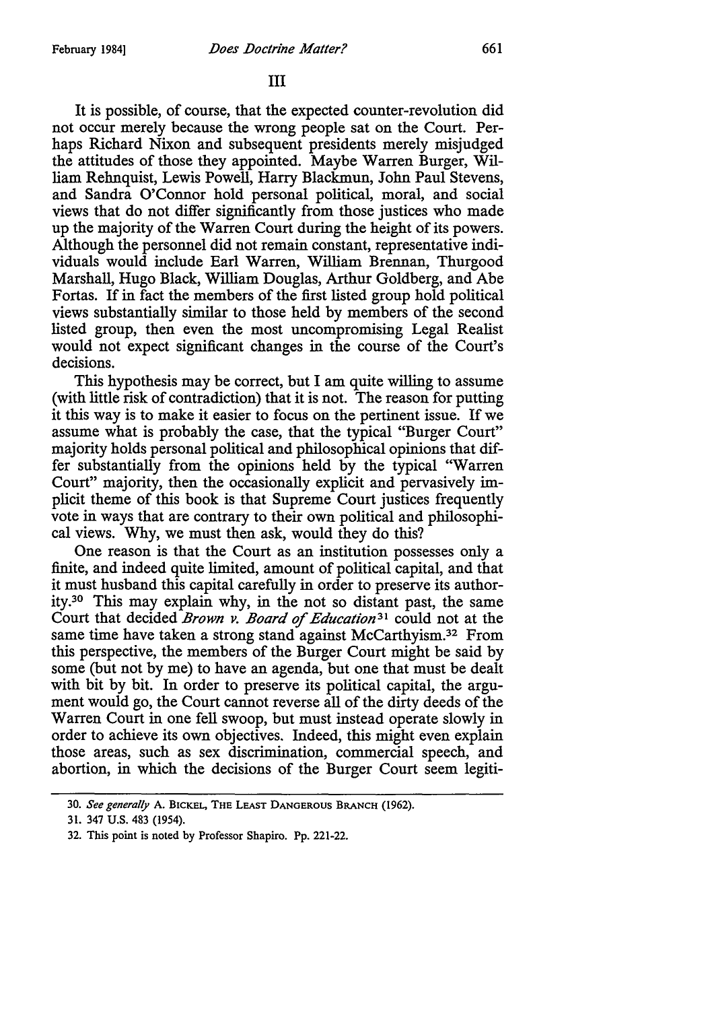It is possible, of course, that the expected counter-revolution did not occur merely because the wrong people sat on the Court. Perhaps Richard Nixon and subsequent presidents merely misjudged the attitudes of those they appointed. Maybe Warren Burger, William Rehnquist, Lewis Powell, Harry Blackmun, John Paul Stevens, and Sandra O'Connor hold personal political, moral, and social views that do not differ significantly from those justices who made up the majority of the Warren Court during the height of its powers. Although the personnel did not remain constant, representative individuals would include Earl Warren, William Brennan, Thurgood Marshall, Hugo Black, William Douglas, Arthur Goldberg, and Abe Fortas. If in fact the members of the first listed group hold political views substantially similar to those held by members of the second listed group, then even the most uncompromising Legal Realist would not expect significant changes in the course of the Court's decisions.

This hypothesis may be correct, but I am quite willing to assume (with little risk of contradiction) that it is not. The reason for putting it this way is to make it easier to focus on the pertinent issue. If we assume what is probably the case, that the typical "Burger Court" majority holds personal political and philosophical opinions that differ substantially from the opinions held by the typical "Warren Court" majority, then the occasionally explicit and pervasively implicit theme of this book is that Supreme Court justices frequently vote in ways that are contrary to their own political and philosophical views. Why, we must then ask, would they do this?

One reason is that the Court as an institution possesses only a finite, and indeed quite limited, amount of political capital, and that it must husband this capital carefully in order to preserve its authority.30 This may explain why, in the not so distant past, the same Court that decided *Brown v. Board of Education*<sup>31</sup> could not at the same time have taken a strong stand against McCarthyism.32 From this perspective, the members of the Burger Court might be said by some (but not by me) to have an agenda, but one that must be dealt with bit by bit. In order to preserve its political capital, the argument would go, the Court cannot reverse all of the dirty deeds of the Warren Court in one fell swoop, but must instead operate slowly in order to achieve its own objectives. Indeed, this might even explain those areas, such as sex discrimination, commercial speech, and abortion, in which the decisions of the Burger Court seem legiti-

<sup>30.</sup> *See generally* A. BICKEL, THE LEAST DANGEROUS BRANCH (1962).

<sup>31. 347</sup> U.S. 483 (1954).

<sup>32.</sup> This point is noted by Professor Shapiro. Pp. 221-22.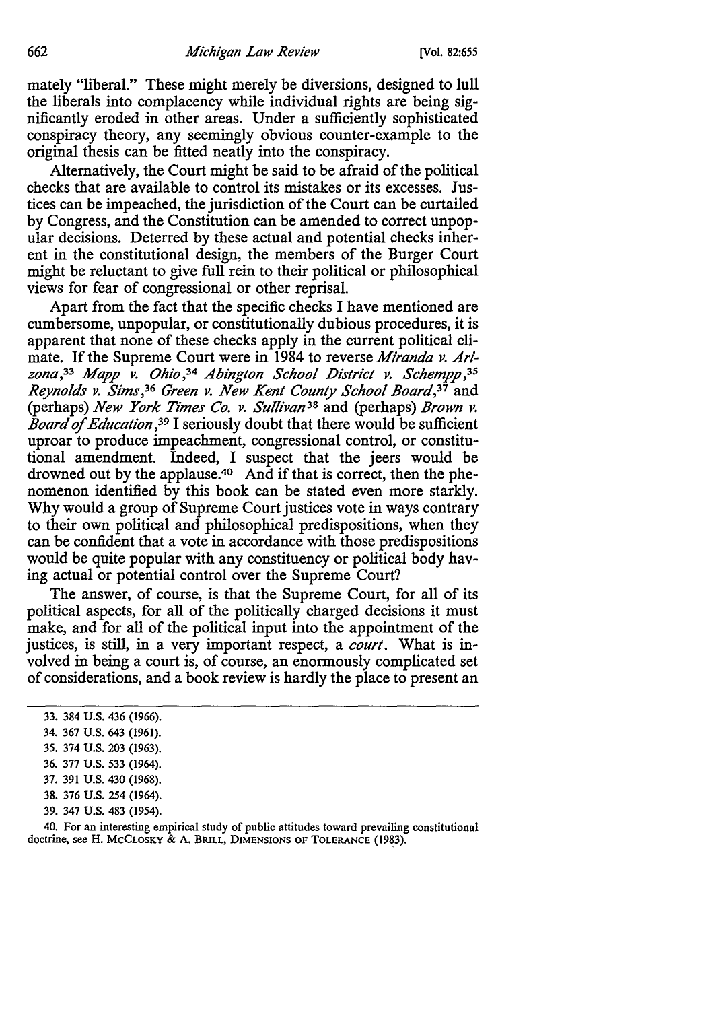mately "liberal." These might merely be diversions, designed to lull the liberals into complacency while individual rights are being significantly eroded in other areas. Under a sufficiently sophisticated conspiracy theory, any seemingly obvious counter-example to the original thesis can be fitted neatly into the conspiracy.

Alternatively, the Court might be said to be afraid of the political checks that are available to control its mistakes or its excesses. Justices can be impeached, the jurisdiction of the Court can be curtailed by Congress, and the Constitution can be amended to correct unpopular decisions. Deterred by these actual and potential checks inherent in the constitutional design, the members of the Burger Court might be reluctant to give full rein to their political or philosophical views for fear of congressional or other reprisal.

Apart from the fact that the specific checks I have mentioned are cumbersome, unpopular, or constitutionally dubious procedures, it is apparent that none of these checks apply in the current political climate. If the Supreme Court were in 1984 to reverse *Miranda v. Arizona* ,33 *Mapp v. Ohio,34 Abington School .District v. Schempp,35 Reynolds v. Sims,36 Green v. New Kent County School Board,31* and (perhaps) *New York Times Co. v. Su//ivan <sup>38</sup>*and (perhaps) *Brown v. Board of Education* , 39 I seriously doubt that there would be sufficient uproar to produce impeachment, congressional control, or constitutional amendment. Indeed, I suspect that the jeers would be drowned out by the applause.40 And if that is correct, then the phenomenon identified by this book can be stated even more starkly. Why would a group of Supreme Court justices vote in ways contrary to their own political and philosophical predispositions, when they can be confident that a vote in accordance with those predispositions would be quite popular with any constituency or political body having actual or potential control over the Supreme Court?

The answer, of course, is that the Supreme Court, for all of its political aspects, for all of the politically charged decisions it must make, and for all of the political input into the appointment of the justices, is still, in a very important respect, a *court.* What is involved in being a court is, of course, an enormously complicated set of considerations, and a book review is hardly the place to present an

- 33. 384 U.S. 436 (1966).
- 34. 367 U.S. 643 (1961).
- 35. 374 U.S. 203 (1963).
- 36. 377 U.S. 533 (1964).
- 37. 391 U.S. 430 (1968).
- 38. 376 U.S. 254 (1964).
- 39. 347 U.S. 483 (1954).

40. For an interesting empirical study of public attitudes toward prevailing constitutional doctrine, see H. McCLOSKY & A. BRILL, DIMENSIONS OF TOLERANCE (1983).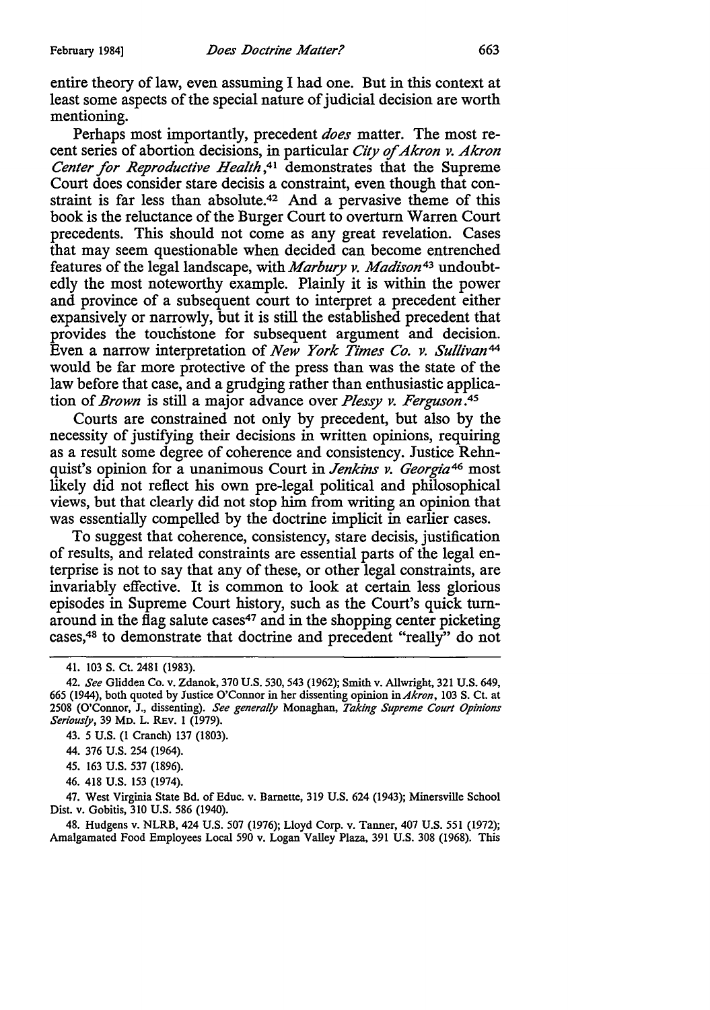entire theory of law, even assuming I had one. But in this context at least some aspects of the special nature of judicial decision are worth mentioning.

Perhaps most importantly, precedent *does* matter. The most recent series of abortion decisions, in particular *City of Akron v. Akron Center for Reproductive Health* , 41 demonstrates that the Supreme Court does consider stare decisis a constraint, even though that constraint is far less than absolute.42 And a pervasive theme of this book is the reluctance of the Burger Court to overturn Warren Court precedents. This should not come as any great revelation. Cases that may seem questionable when decided can become entrenched features of the legal landscape, with *Marbury v. Madison <sup>43</sup>*undoubtedly the most noteworthy example. Plainly it is within the power and province of a subsequent court to interpret a precedent either expansively or narrowly, but it is still the established precedent that provides the touchstone for subsequent argument and decision. Even a narrow interpretation of *New York Times Co. v. Sullivan* <sup>44</sup> would be far more protective of the press than was the state of the law before that case, and a grudging rather than enthusiastic application of *Brown* is still a major advance over *Plessy v. Ferguson* . 45

Courts are constrained not only by precedent, but also by the necessity of justifying their decisions in written opinions, requiring as a result some degree of coherence and consistency. Justice Rehnquist's opinion for a unanimous Court in *Jenkins v. Georgia*46 most likely did not reflect his own pre-legal political and philosophical views, but that clearly did not stop him from writing an opinion that was essentially compelled by the doctrine implicit in earlier cases.

To suggest that coherence, consistency, stare decisis, justification of results, and related constraints are essential parts of the legal enterprise is not to say that any of these, or other legal constraints, are invariably effective. It is common to look at certain less glorious episodes in Supreme Court history, such as the Court's quick turnaround in the flag salute cases<sup>47</sup> and in the shopping center picketing cases,48 to demonstrate that doctrine and precedent "really" do not

- 45. 163 U.S. 537 (1896).
- 46. 418 U.S. 153 (1974).

47. West Virginia State Bd. of Educ. v. Barnette, 319 U.S. 624 (1943); Minersville School Dist. v. Gobitis, 310 U.S. 586 (1940).

48. Hudgens v. NLRB, 424 U.S. 507 (1976); Lloyd Corp. v. Tanner, 407 U.S. 551 (1972); Amalgamated Food Employees Local 590 v. Logan Valley Plaza, 391 U.S. 308 (1968). This

<sup>41. 103</sup> S. Ct. 2481 (1983).

<sup>42.</sup> *See* Glidden Co. v. Zdanok, 370 U.S. 530, 543 (1962); Smith v. Allwright, 321 U.S. 649, 665 (1944), both quoted by Justice O'Connor in her dissenting opinion in *Akron,* 103 S. Ct. at 2508 (O'Connor, J., dissenting). *See generally* Monaghan, *Taking Supreme Court Opinions Seriously,* 39 Mo. L. REV. 1 (1979).

<sup>43.</sup> *5* U.S. (1 Cranch) 137 (1803).

<sup>44. 376</sup> U.S. 254 (1964).